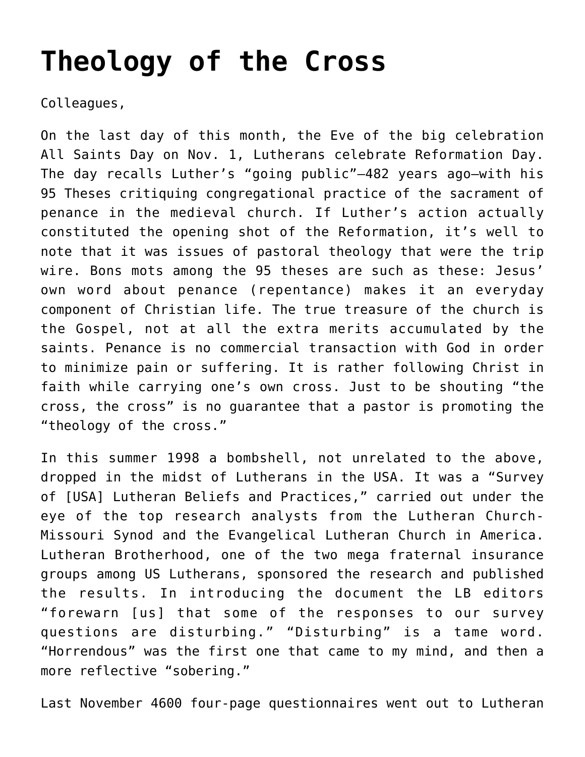## **[Theology of the Cross](https://crossings.org/theology-of-the-cross/)**

Colleagues,

On the last day of this month, the Eve of the big celebration All Saints Day on Nov. 1, Lutherans celebrate Reformation Day. The day recalls Luther's "going public"–482 years ago–with his 95 Theses critiquing congregational practice of the sacrament of penance in the medieval church. If Luther's action actually constituted the opening shot of the Reformation, it's well to note that it was issues of pastoral theology that were the trip wire. Bons mots among the 95 theses are such as these: Jesus' own word about penance (repentance) makes it an everyday component of Christian life. The true treasure of the church is the Gospel, not at all the extra merits accumulated by the saints. Penance is no commercial transaction with God in order to minimize pain or suffering. It is rather following Christ in faith while carrying one's own cross. Just to be shouting "the cross, the cross" is no guarantee that a pastor is promoting the "theology of the cross."

In this summer 1998 a bombshell, not unrelated to the above, dropped in the midst of Lutherans in the USA. It was a "Survey of [USA] Lutheran Beliefs and Practices," carried out under the eye of the top research analysts from the Lutheran Church-Missouri Synod and the Evangelical Lutheran Church in America. Lutheran Brotherhood, one of the two mega fraternal insurance groups among US Lutherans, sponsored the research and published the results. In introducing the document the LB editors "forewarn [us] that some of the responses to our survey questions are disturbing." "Disturbing" is a tame word. "Horrendous" was the first one that came to my mind, and then a more reflective "sobering."

Last November 4600 four-page questionnaires went out to Lutheran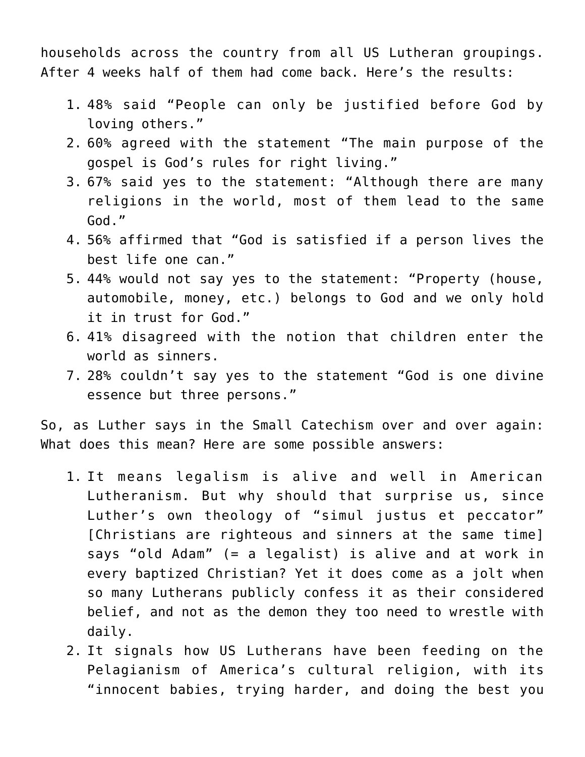households across the country from all US Lutheran groupings. After 4 weeks half of them had come back. Here's the results:

- 1. 48% said "People can only be justified before God by loving others."
- 2. 60% agreed with the statement "The main purpose of the gospel is God's rules for right living."
- 3. 67% said yes to the statement: "Although there are many religions in the world, most of them lead to the same God."
- 4. 56% affirmed that "God is satisfied if a person lives the best life one can."
- 5. 44% would not say yes to the statement: "Property (house, automobile, money, etc.) belongs to God and we only hold it in trust for God."
- 6. 41% disagreed with the notion that children enter the world as sinners.
- 7. 28% couldn't say yes to the statement "God is one divine essence but three persons."

So, as Luther says in the Small Catechism over and over again: What does this mean? Here are some possible answers:

- 1. It means legalism is alive and well in American Lutheranism. But why should that surprise us, since Luther's own theology of "simul justus et peccator" [Christians are righteous and sinners at the same time] says "old Adam" (= a legalist) is alive and at work in every baptized Christian? Yet it does come as a jolt when so many Lutherans publicly confess it as their considered belief, and not as the demon they too need to wrestle with daily.
- 2. It signals how US Lutherans have been feeding on the Pelagianism of America's cultural religion, with its "innocent babies, trying harder, and doing the best you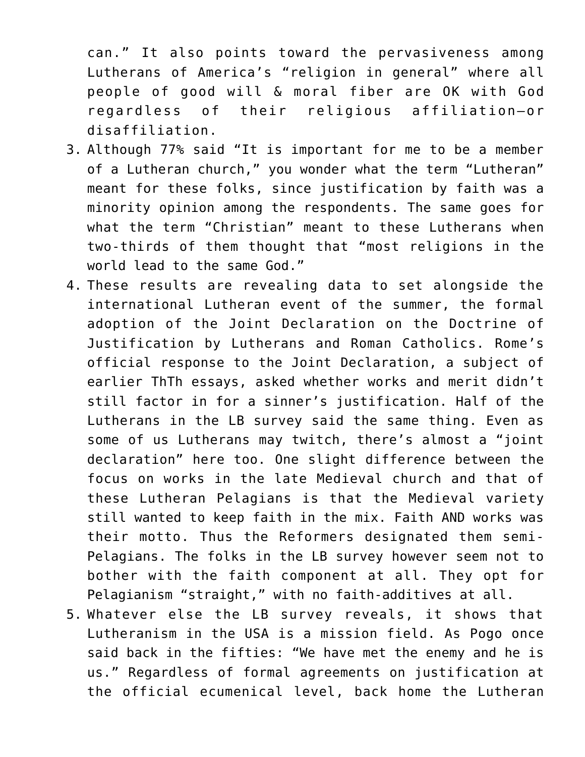can." It also points toward the pervasiveness among Lutherans of America's "religion in general" where all people of good will & moral fiber are OK with God regardless of their religious affiliation–or disaffiliation.

- 3. Although 77% said "It is important for me to be a member of a Lutheran church," you wonder what the term "Lutheran" meant for these folks, since justification by faith was a minority opinion among the respondents. The same goes for what the term "Christian" meant to these Lutherans when two-thirds of them thought that "most religions in the world lead to the same God."
- 4. These results are revealing data to set alongside the international Lutheran event of the summer, the formal adoption of the Joint Declaration on the Doctrine of Justification by Lutherans and Roman Catholics. Rome's official response to the Joint Declaration, a subject of earlier ThTh essays, asked whether works and merit didn't still factor in for a sinner's justification. Half of the Lutherans in the LB survey said the same thing. Even as some of us Lutherans may twitch, there's almost a "joint declaration" here too. One slight difference between the focus on works in the late Medieval church and that of these Lutheran Pelagians is that the Medieval variety still wanted to keep faith in the mix. Faith AND works was their motto. Thus the Reformers designated them semi-Pelagians. The folks in the LB survey however seem not to bother with the faith component at all. They opt for Pelagianism "straight," with no faith-additives at all.
- 5. Whatever else the LB survey reveals, it shows that Lutheranism in the USA is a mission field. As Pogo once said back in the fifties: "We have met the enemy and he is us." Regardless of formal agreements on justification at the official ecumenical level, back home the Lutheran